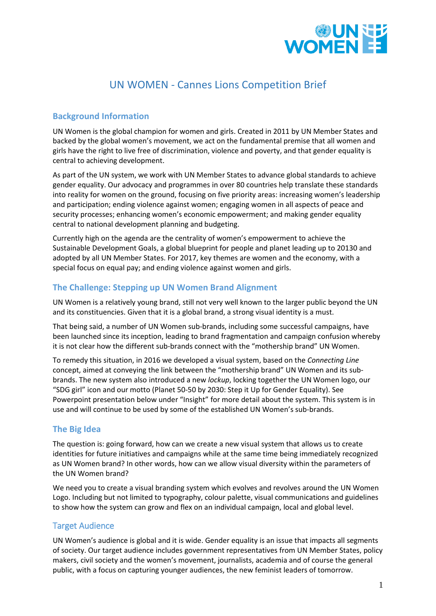

# UN WOMEN - Cannes Lions Competition Brief

## **Background Information**

UN Women is the global champion for women and girls. Created in 2011 by UN Member States and backed by the global women's movement, we act on the fundamental premise that all women and girls have the right to live free of discrimination, violence and poverty, and that gender equality is central to achieving development.

As part of the UN system, we work with UN Member States to advance global standards to achieve gender equality. Our advocacy and programmes in over 80 countries help translate these standards into reality for women on the ground, focusing on five priority areas: increasing women's leadership and participation; ending violence against women; engaging women in all aspects of peace and security processes; enhancing women's economic empowerment; and making gender equality central to national development planning and budgeting.

Currently high on the agenda are the centrality of women's empowerment to achieve the Sustainable Development Goals, a global blueprint for people and planet leading up to 20130 and adopted by all UN Member States. For 2017, key themes are women and the economy, with a special focus on equal pay; and ending violence against women and girls.

# **The Challenge: Stepping up UN Women Brand Alignment**

UN Women is a relatively young brand, still not very well known to the larger public beyond the UN and its constituencies. Given that it is a global brand, a strong visual identity is a must.

That being said, a number of UN Women sub-brands, including some successful campaigns, have been launched since its inception, leading to brand fragmentation and campaign confusion whereby it is not clear how the different sub-brands connect with the "mothership brand" UN Women.

To remedy this situation, in 2016 we developed a visual system, based on the *Connecting Line* concept, aimed at conveying the link between the "mothership brand" UN Women and its subbrands. The new system also introduced a new *lockup*, locking together the UN Women logo, our "SDG girl" icon and our motto (Planet 50-50 by 2030: Step it Up for Gender Equality). See Powerpoint presentation below under "Insight" for more detail about the system. This system is in use and will continue to be used by some of the established UN Women's sub-brands.

## **The Big Idea**

The question is: going forward, how can we create a new visual system that allows us to create identities for future initiatives and campaigns while at the same time being immediately recognized as UN Women brand? In other words, how can we allow visual diversity within the parameters of the UN Women brand?

We need you to create a visual branding system which evolves and revolves around the UN Women Logo. Including but not limited to typography, colour palette, visual communications and guidelines to show how the system can grow and flex on an individual campaign, local and global level.

## Target Audience

UN Women's audience is global and it is wide. Gender equality is an issue that impacts all segments of society. Our target audience includes government representatives from UN Member States, policy makers, civil society and the women's movement, journalists, academia and of course the general public, with a focus on capturing younger audiences, the new feminist leaders of tomorrow.